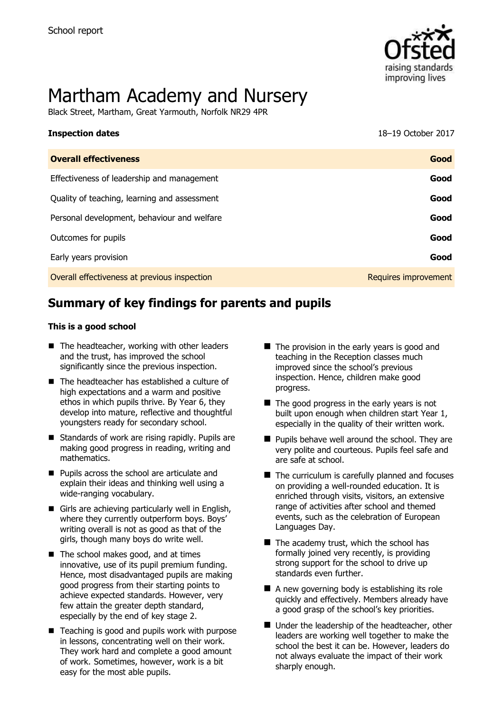

# Martham Academy and Nursery

Black Street, Martham, Great Yarmouth, Norfolk NR29 4PR

# **Inspection dates** 18–19 October 2017

| <b>Overall effectiveness</b>                 | Good                 |
|----------------------------------------------|----------------------|
| Effectiveness of leadership and management   | Good                 |
| Quality of teaching, learning and assessment | Good                 |
| Personal development, behaviour and welfare  | Good                 |
| Outcomes for pupils                          | Good                 |
| Early years provision                        | Good                 |
| Overall effectiveness at previous inspection | Requires improvement |

# **Summary of key findings for parents and pupils**

#### **This is a good school**

- $\blacksquare$  The headteacher, working with other leaders and the trust, has improved the school significantly since the previous inspection.
- The headteacher has established a culture of high expectations and a warm and positive ethos in which pupils thrive. By Year 6, they develop into mature, reflective and thoughtful youngsters ready for secondary school.
- Standards of work are rising rapidly. Pupils are making good progress in reading, writing and mathematics.
- **Pupils across the school are articulate and** explain their ideas and thinking well using a wide-ranging vocabulary.
- Girls are achieving particularly well in English, where they currently outperform boys. Boys' writing overall is not as good as that of the girls, though many boys do write well.
- The school makes good, and at times innovative, use of its pupil premium funding. Hence, most disadvantaged pupils are making good progress from their starting points to achieve expected standards. However, very few attain the greater depth standard, especially by the end of key stage 2.
- $\blacksquare$  Teaching is good and pupils work with purpose in lessons, concentrating well on their work. They work hard and complete a good amount of work. Sometimes, however, work is a bit easy for the most able pupils.
- $\blacksquare$  The provision in the early years is good and teaching in the Reception classes much improved since the school's previous inspection. Hence, children make good progress.
- $\blacksquare$  The good progress in the early years is not built upon enough when children start Year 1, especially in the quality of their written work.
- $\blacksquare$  Pupils behave well around the school. They are very polite and courteous. Pupils feel safe and are safe at school.
- $\blacksquare$  The curriculum is carefully planned and focuses on providing a well-rounded education. It is enriched through visits, visitors, an extensive range of activities after school and themed events, such as the celebration of European Languages Day.
- $\blacksquare$  The academy trust, which the school has formally joined very recently, is providing strong support for the school to drive up standards even further.
- $\blacksquare$  A new governing body is establishing its role quickly and effectively. Members already have a good grasp of the school's key priorities.
- Under the leadership of the headteacher, other leaders are working well together to make the school the best it can be. However, leaders do not always evaluate the impact of their work sharply enough.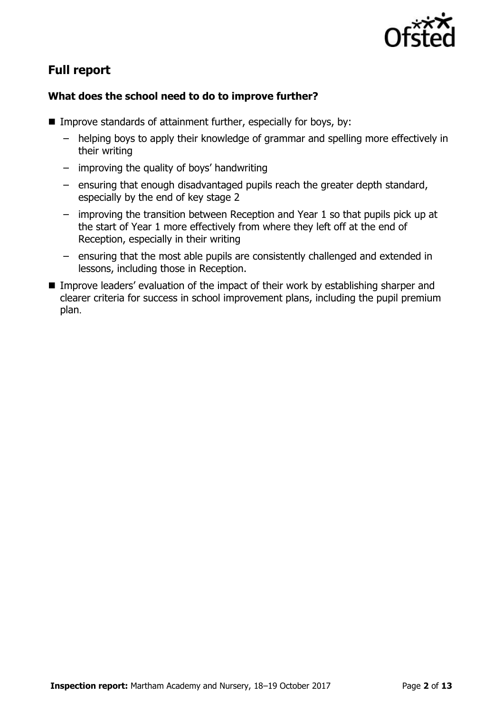

# **Full report**

### **What does the school need to do to improve further?**

- Improve standards of attainment further, especially for boys, by:
	- helping boys to apply their knowledge of grammar and spelling more effectively in their writing
	- improving the quality of boys' handwriting
	- ensuring that enough disadvantaged pupils reach the greater depth standard, especially by the end of key stage 2
	- improving the transition between Reception and Year 1 so that pupils pick up at the start of Year 1 more effectively from where they left off at the end of Reception, especially in their writing
	- ensuring that the most able pupils are consistently challenged and extended in lessons, including those in Reception.
- Improve leaders' evaluation of the impact of their work by establishing sharper and clearer criteria for success in school improvement plans, including the pupil premium plan.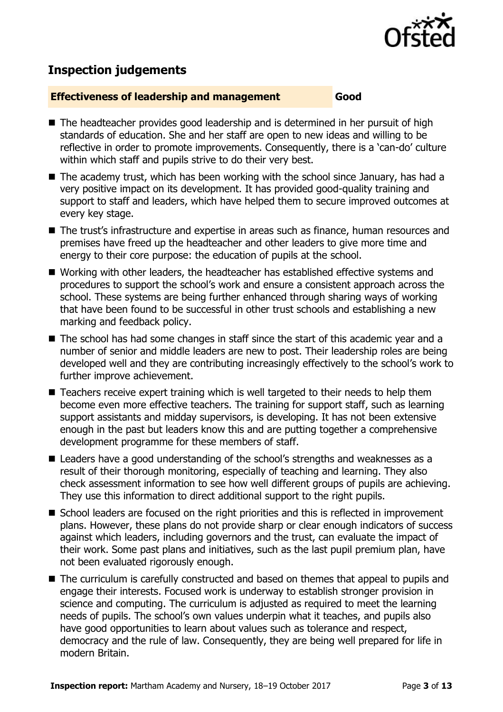

## **Inspection judgements**

#### **Effectiveness of leadership and management Good**

- The headteacher provides good leadership and is determined in her pursuit of high standards of education. She and her staff are open to new ideas and willing to be reflective in order to promote improvements. Consequently, there is a 'can-do' culture within which staff and pupils strive to do their very best.
- The academy trust, which has been working with the school since January, has had a very positive impact on its development. It has provided good-quality training and support to staff and leaders, which have helped them to secure improved outcomes at every key stage.
- The trust's infrastructure and expertise in areas such as finance, human resources and premises have freed up the headteacher and other leaders to give more time and energy to their core purpose: the education of pupils at the school.
- Working with other leaders, the headteacher has established effective systems and procedures to support the school's work and ensure a consistent approach across the school. These systems are being further enhanced through sharing ways of working that have been found to be successful in other trust schools and establishing a new marking and feedback policy.
- The school has had some changes in staff since the start of this academic year and a number of senior and middle leaders are new to post. Their leadership roles are being developed well and they are contributing increasingly effectively to the school's work to further improve achievement.
- Teachers receive expert training which is well targeted to their needs to help them become even more effective teachers. The training for support staff, such as learning support assistants and midday supervisors, is developing. It has not been extensive enough in the past but leaders know this and are putting together a comprehensive development programme for these members of staff.
- Leaders have a good understanding of the school's strengths and weaknesses as a result of their thorough monitoring, especially of teaching and learning. They also check assessment information to see how well different groups of pupils are achieving. They use this information to direct additional support to the right pupils.
- School leaders are focused on the right priorities and this is reflected in improvement plans. However, these plans do not provide sharp or clear enough indicators of success against which leaders, including governors and the trust, can evaluate the impact of their work. Some past plans and initiatives, such as the last pupil premium plan, have not been evaluated rigorously enough.
- The curriculum is carefully constructed and based on themes that appeal to pupils and engage their interests. Focused work is underway to establish stronger provision in science and computing. The curriculum is adjusted as required to meet the learning needs of pupils. The school's own values underpin what it teaches, and pupils also have good opportunities to learn about values such as tolerance and respect, democracy and the rule of law. Consequently, they are being well prepared for life in modern Britain.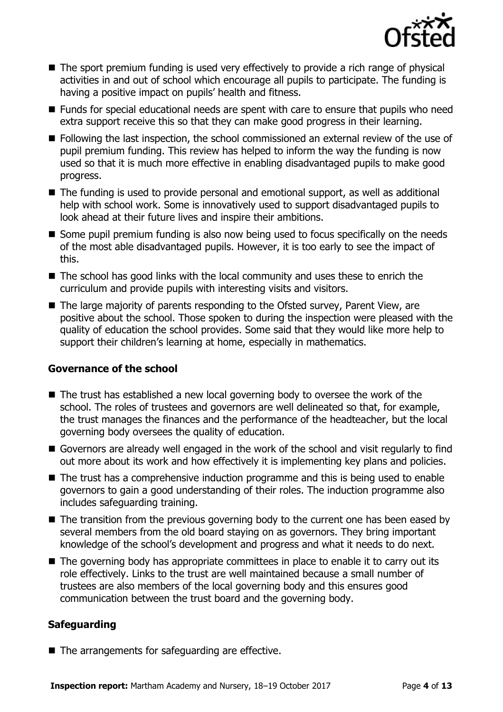

- The sport premium funding is used very effectively to provide a rich range of physical activities in and out of school which encourage all pupils to participate. The funding is having a positive impact on pupils' health and fitness.
- Funds for special educational needs are spent with care to ensure that pupils who need extra support receive this so that they can make good progress in their learning.
- Following the last inspection, the school commissioned an external review of the use of pupil premium funding. This review has helped to inform the way the funding is now used so that it is much more effective in enabling disadvantaged pupils to make good progress.
- The funding is used to provide personal and emotional support, as well as additional help with school work. Some is innovatively used to support disadvantaged pupils to look ahead at their future lives and inspire their ambitions.
- Some pupil premium funding is also now being used to focus specifically on the needs of the most able disadvantaged pupils. However, it is too early to see the impact of this.
- The school has good links with the local community and uses these to enrich the curriculum and provide pupils with interesting visits and visitors.
- The large majority of parents responding to the Ofsted survey, Parent View, are positive about the school. Those spoken to during the inspection were pleased with the quality of education the school provides. Some said that they would like more help to support their children's learning at home, especially in mathematics.

### **Governance of the school**

- The trust has established a new local governing body to oversee the work of the school. The roles of trustees and governors are well delineated so that, for example, the trust manages the finances and the performance of the headteacher, but the local governing body oversees the quality of education.
- Governors are already well engaged in the work of the school and visit regularly to find out more about its work and how effectively it is implementing key plans and policies.
- The trust has a comprehensive induction programme and this is being used to enable governors to gain a good understanding of their roles. The induction programme also includes safeguarding training.
- The transition from the previous governing body to the current one has been eased by several members from the old board staying on as governors. They bring important knowledge of the school's development and progress and what it needs to do next.
- The governing body has appropriate committees in place to enable it to carry out its role effectively. Links to the trust are well maintained because a small number of trustees are also members of the local governing body and this ensures good communication between the trust board and the governing body.

### **Safeguarding**

 $\blacksquare$  The arrangements for safeguarding are effective.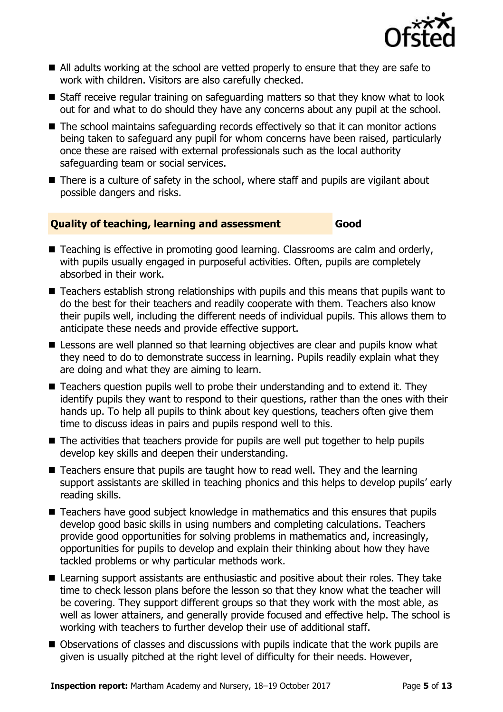

- All adults working at the school are vetted properly to ensure that they are safe to work with children. Visitors are also carefully checked.
- Staff receive regular training on safeguarding matters so that they know what to look out for and what to do should they have any concerns about any pupil at the school.
- The school maintains safeguarding records effectively so that it can monitor actions being taken to safeguard any pupil for whom concerns have been raised, particularly once these are raised with external professionals such as the local authority safeguarding team or social services.
- There is a culture of safety in the school, where staff and pupils are vigilant about possible dangers and risks.

#### **Quality of teaching, learning and assessment Good**

- Teaching is effective in promoting good learning. Classrooms are calm and orderly, with pupils usually engaged in purposeful activities. Often, pupils are completely absorbed in their work.
- Teachers establish strong relationships with pupils and this means that pupils want to do the best for their teachers and readily cooperate with them. Teachers also know their pupils well, including the different needs of individual pupils. This allows them to anticipate these needs and provide effective support.
- **E** Lessons are well planned so that learning objectives are clear and pupils know what they need to do to demonstrate success in learning. Pupils readily explain what they are doing and what they are aiming to learn.
- $\blacksquare$  Teachers question pupils well to probe their understanding and to extend it. They identify pupils they want to respond to their questions, rather than the ones with their hands up. To help all pupils to think about key questions, teachers often give them time to discuss ideas in pairs and pupils respond well to this.
- The activities that teachers provide for pupils are well put together to help pupils develop key skills and deepen their understanding.
- Teachers ensure that pupils are taught how to read well. They and the learning support assistants are skilled in teaching phonics and this helps to develop pupils' early reading skills.
- Teachers have good subject knowledge in mathematics and this ensures that pupils develop good basic skills in using numbers and completing calculations. Teachers provide good opportunities for solving problems in mathematics and, increasingly, opportunities for pupils to develop and explain their thinking about how they have tackled problems or why particular methods work.
- Learning support assistants are enthusiastic and positive about their roles. They take time to check lesson plans before the lesson so that they know what the teacher will be covering. They support different groups so that they work with the most able, as well as lower attainers, and generally provide focused and effective help. The school is working with teachers to further develop their use of additional staff.
- Observations of classes and discussions with pupils indicate that the work pupils are given is usually pitched at the right level of difficulty for their needs. However,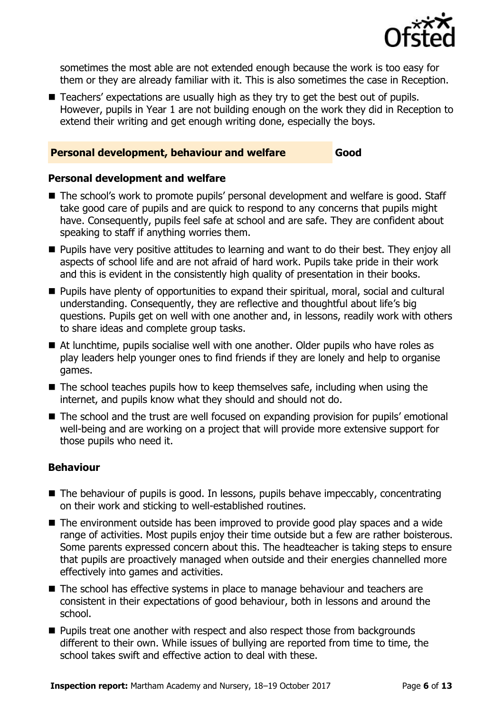

sometimes the most able are not extended enough because the work is too easy for them or they are already familiar with it. This is also sometimes the case in Reception.

■ Teachers' expectations are usually high as they try to get the best out of pupils. However, pupils in Year 1 are not building enough on the work they did in Reception to extend their writing and get enough writing done, especially the boys.

#### **Personal development, behaviour and welfare Good**

#### **Personal development and welfare**

- The school's work to promote pupils' personal development and welfare is good. Staff take good care of pupils and are quick to respond to any concerns that pupils might have. Consequently, pupils feel safe at school and are safe. They are confident about speaking to staff if anything worries them.
- **Pupils have very positive attitudes to learning and want to do their best. They enjoy all** aspects of school life and are not afraid of hard work. Pupils take pride in their work and this is evident in the consistently high quality of presentation in their books.
- **Pupils have plenty of opportunities to expand their spiritual, moral, social and cultural** understanding. Consequently, they are reflective and thoughtful about life's big questions. Pupils get on well with one another and, in lessons, readily work with others to share ideas and complete group tasks.
- At lunchtime, pupils socialise well with one another. Older pupils who have roles as play leaders help younger ones to find friends if they are lonely and help to organise games.
- $\blacksquare$  The school teaches pupils how to keep themselves safe, including when using the internet, and pupils know what they should and should not do.
- The school and the trust are well focused on expanding provision for pupils' emotional well-being and are working on a project that will provide more extensive support for those pupils who need it.

#### **Behaviour**

- The behaviour of pupils is good. In lessons, pupils behave impeccably, concentrating on their work and sticking to well-established routines.
- The environment outside has been improved to provide good play spaces and a wide range of activities. Most pupils enjoy their time outside but a few are rather boisterous. Some parents expressed concern about this. The headteacher is taking steps to ensure that pupils are proactively managed when outside and their energies channelled more effectively into games and activities.
- The school has effective systems in place to manage behaviour and teachers are consistent in their expectations of good behaviour, both in lessons and around the school.
- **Pupils treat one another with respect and also respect those from backgrounds** different to their own. While issues of bullying are reported from time to time, the school takes swift and effective action to deal with these.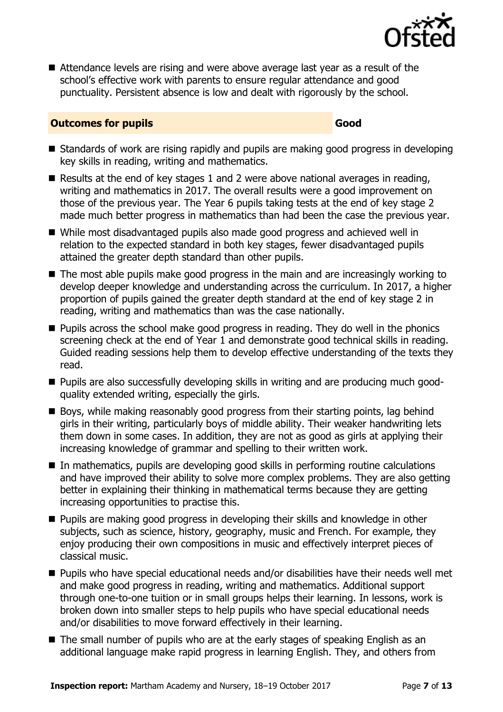

■ Attendance levels are rising and were above average last year as a result of the school's effective work with parents to ensure regular attendance and good punctuality. Persistent absence is low and dealt with rigorously by the school.

#### **Outcomes for pupils Good**

- Standards of work are rising rapidly and pupils are making good progress in developing key skills in reading, writing and mathematics.
- Results at the end of key stages 1 and 2 were above national averages in reading, writing and mathematics in 2017. The overall results were a good improvement on those of the previous year. The Year 6 pupils taking tests at the end of key stage 2 made much better progress in mathematics than had been the case the previous year.
- While most disadvantaged pupils also made good progress and achieved well in relation to the expected standard in both key stages, fewer disadvantaged pupils attained the greater depth standard than other pupils.
- The most able pupils make good progress in the main and are increasingly working to develop deeper knowledge and understanding across the curriculum. In 2017, a higher proportion of pupils gained the greater depth standard at the end of key stage 2 in reading, writing and mathematics than was the case nationally.
- **Pupils across the school make good progress in reading. They do well in the phonics** screening check at the end of Year 1 and demonstrate good technical skills in reading. Guided reading sessions help them to develop effective understanding of the texts they read.
- Pupils are also successfully developing skills in writing and are producing much goodquality extended writing, especially the girls.
- Boys, while making reasonably good progress from their starting points, lag behind girls in their writing, particularly boys of middle ability. Their weaker handwriting lets them down in some cases. In addition, they are not as good as girls at applying their increasing knowledge of grammar and spelling to their written work.
- In mathematics, pupils are developing good skills in performing routine calculations and have improved their ability to solve more complex problems. They are also getting better in explaining their thinking in mathematical terms because they are getting increasing opportunities to practise this.
- **Pupils are making good progress in developing their skills and knowledge in other** subjects, such as science, history, geography, music and French. For example, they enjoy producing their own compositions in music and effectively interpret pieces of classical music.
- **Pupils who have special educational needs and/or disabilities have their needs well met** and make good progress in reading, writing and mathematics. Additional support through one-to-one tuition or in small groups helps their learning. In lessons, work is broken down into smaller steps to help pupils who have special educational needs and/or disabilities to move forward effectively in their learning.
- The small number of pupils who are at the early stages of speaking English as an additional language make rapid progress in learning English. They, and others from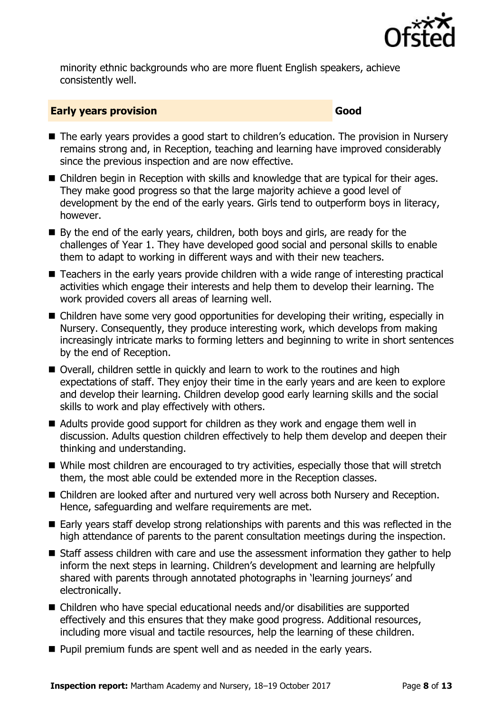

minority ethnic backgrounds who are more fluent English speakers, achieve consistently well.

#### **Early years provision Good Good**

- The early years provides a good start to children's education. The provision in Nursery remains strong and, in Reception, teaching and learning have improved considerably since the previous inspection and are now effective.
- Children begin in Reception with skills and knowledge that are typical for their ages. They make good progress so that the large majority achieve a good level of development by the end of the early years. Girls tend to outperform boys in literacy, however.
- By the end of the early years, children, both boys and girls, are ready for the challenges of Year 1. They have developed good social and personal skills to enable them to adapt to working in different ways and with their new teachers.
- Teachers in the early years provide children with a wide range of interesting practical activities which engage their interests and help them to develop their learning. The work provided covers all areas of learning well.
- Children have some very good opportunities for developing their writing, especially in Nursery. Consequently, they produce interesting work, which develops from making increasingly intricate marks to forming letters and beginning to write in short sentences by the end of Reception.
- Overall, children settle in quickly and learn to work to the routines and high expectations of staff. They enjoy their time in the early years and are keen to explore and develop their learning. Children develop good early learning skills and the social skills to work and play effectively with others.
- Adults provide good support for children as they work and engage them well in discussion. Adults question children effectively to help them develop and deepen their thinking and understanding.
- While most children are encouraged to try activities, especially those that will stretch them, the most able could be extended more in the Reception classes.
- Children are looked after and nurtured very well across both Nursery and Reception. Hence, safeguarding and welfare requirements are met.
- Early years staff develop strong relationships with parents and this was reflected in the high attendance of parents to the parent consultation meetings during the inspection.
- Staff assess children with care and use the assessment information they gather to help inform the next steps in learning. Children's development and learning are helpfully shared with parents through annotated photographs in 'learning journeys' and electronically.
- Children who have special educational needs and/or disabilities are supported effectively and this ensures that they make good progress. Additional resources, including more visual and tactile resources, help the learning of these children.
- **Pupil premium funds are spent well and as needed in the early years.**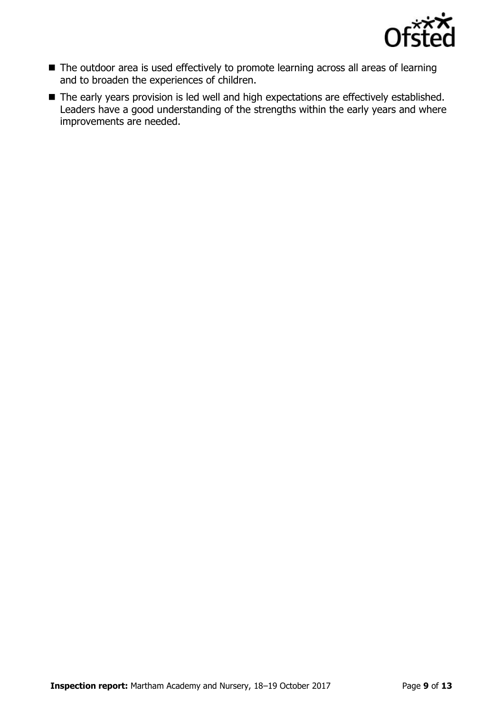

- The outdoor area is used effectively to promote learning across all areas of learning and to broaden the experiences of children.
- The early years provision is led well and high expectations are effectively established. Leaders have a good understanding of the strengths within the early years and where improvements are needed.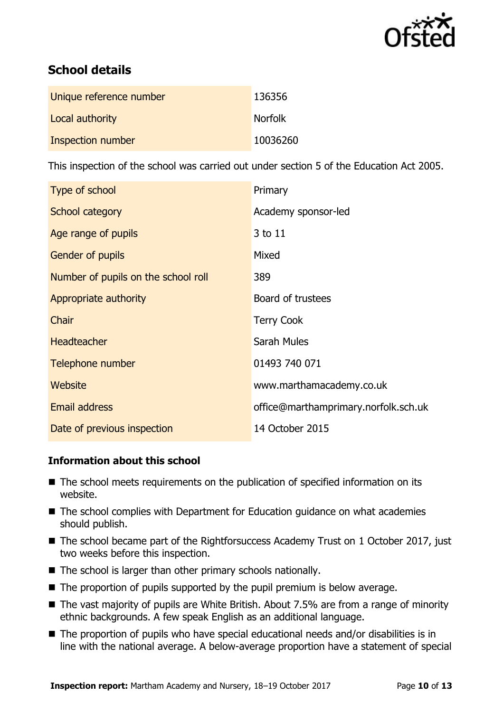

# **School details**

| Unique reference number | 136356         |
|-------------------------|----------------|
| Local authority         | <b>Norfolk</b> |
| Inspection number       | 10036260       |

This inspection of the school was carried out under section 5 of the Education Act 2005.

| Type of school                      | Primary                              |
|-------------------------------------|--------------------------------------|
| School category                     | Academy sponsor-led                  |
| Age range of pupils                 | 3 to 11                              |
| <b>Gender of pupils</b>             | Mixed                                |
| Number of pupils on the school roll | 389                                  |
| Appropriate authority               | Board of trustees                    |
| Chair                               | <b>Terry Cook</b>                    |
| <b>Headteacher</b>                  | Sarah Mules                          |
| Telephone number                    | 01493 740 071                        |
| <b>Website</b>                      | www.marthamacademy.co.uk             |
| <b>Email address</b>                | office@marthamprimary.norfolk.sch.uk |
| Date of previous inspection         | 14 October 2015                      |

### **Information about this school**

- The school meets requirements on the publication of specified information on its website.
- The school complies with Department for Education guidance on what academies should publish.
- The school became part of the Rightforsuccess Academy Trust on 1 October 2017, just two weeks before this inspection.
- The school is larger than other primary schools nationally.
- $\blacksquare$  The proportion of pupils supported by the pupil premium is below average.
- The vast majority of pupils are White British. About 7.5% are from a range of minority ethnic backgrounds. A few speak English as an additional language.
- The proportion of pupils who have special educational needs and/or disabilities is in line with the national average. A below-average proportion have a statement of special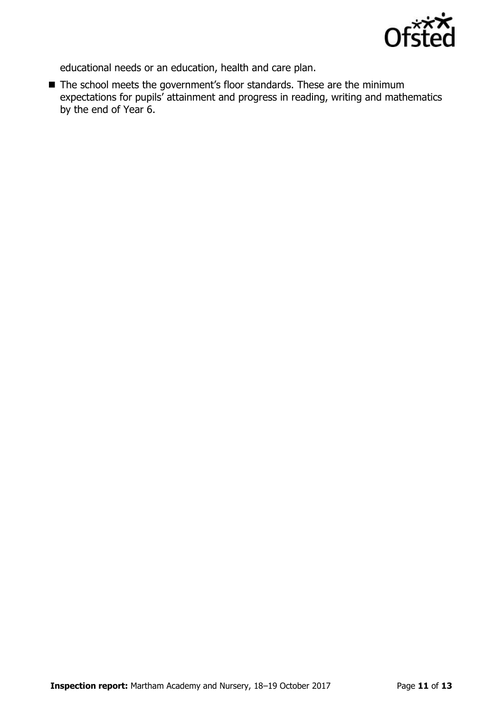

educational needs or an education, health and care plan.

■ The school meets the government's floor standards. These are the minimum expectations for pupils' attainment and progress in reading, writing and mathematics by the end of Year 6.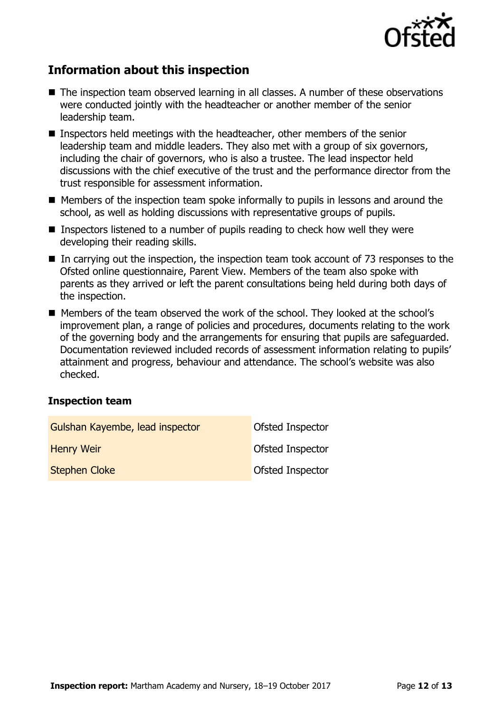

# **Information about this inspection**

- The inspection team observed learning in all classes. A number of these observations were conducted jointly with the headteacher or another member of the senior leadership team.
- Inspectors held meetings with the headteacher, other members of the senior leadership team and middle leaders. They also met with a group of six governors, including the chair of governors, who is also a trustee. The lead inspector held discussions with the chief executive of the trust and the performance director from the trust responsible for assessment information.
- Members of the inspection team spoke informally to pupils in lessons and around the school, as well as holding discussions with representative groups of pupils.
- Inspectors listened to a number of pupils reading to check how well they were developing their reading skills.
- In carrying out the inspection, the inspection team took account of 73 responses to the Ofsted online questionnaire, Parent View. Members of the team also spoke with parents as they arrived or left the parent consultations being held during both days of the inspection.
- Members of the team observed the work of the school. They looked at the school's improvement plan, a range of policies and procedures, documents relating to the work of the governing body and the arrangements for ensuring that pupils are safeguarded. Documentation reviewed included records of assessment information relating to pupils' attainment and progress, behaviour and attendance. The school's website was also checked.

#### **Inspection team**

| Gulshan Kayembe, lead inspector | Ofsted Inspector        |
|---------------------------------|-------------------------|
| <b>Henry Weir</b>               | <b>Ofsted Inspector</b> |
| <b>Stephen Cloke</b>            | <b>Ofsted Inspector</b> |